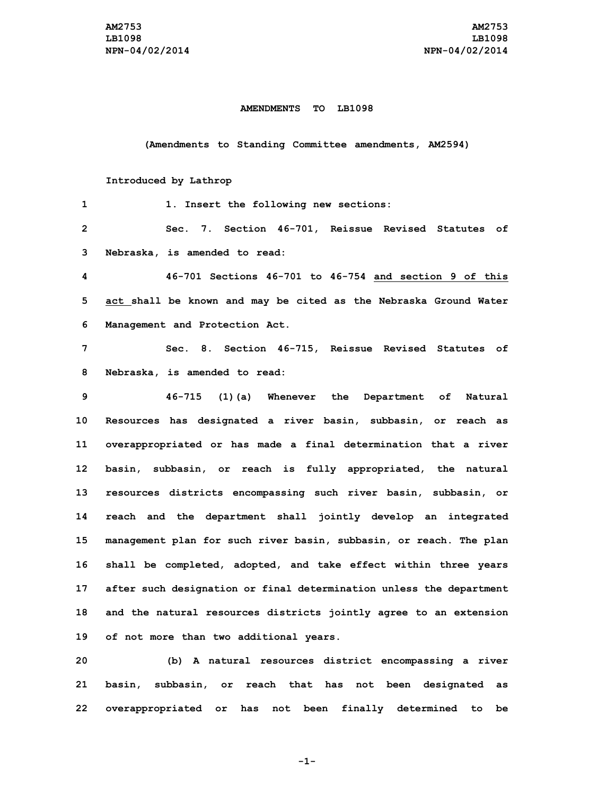## **AMENDMENTS TO LB1098**

**(Amendments to Standing Committee amendments, AM2594)**

## **Introduced by Lathrop**

| 1              | 1. Insert the following new sections:                               |
|----------------|---------------------------------------------------------------------|
| $\overline{2}$ | Section 46-701, Reissue Revised Statutes of<br>7.<br>Sec.           |
| 3              | Nebraska, is amended to read:                                       |
| 4              | 46-701 Sections 46-701 to 46-754 and section 9 of this              |
| 5              | act shall be known and may be cited as the Nebraska Ground Water    |
| 6              | Management and Protection Act.                                      |
| 7              | Sec. 8. Section 46-715, Reissue Revised Statutes of                 |
| 8              | Nebraska, is amended to read:                                       |
| 9              | 46-715<br>(1)(a) Whenever the Department of<br>Natural              |
| 10             | Resources has designated a river basin, subbasin, or reach as       |
| 11             | overappropriated or has made a final determination that a river     |
| 12             | basin, subbasin, or reach is fully appropriated, the natural        |
| 13             | resources districts encompassing such river basin, subbasin, or     |
| 14             | reach and the department shall jointly develop an integrated        |
| 15             | management plan for such river basin, subbasin, or reach. The plan  |
| 16             | shall be completed, adopted, and take effect within three years     |
| 17             | after such designation or final determination unless the department |
| 18             | and the natural resources districts jointly agree to an extension   |
| 19             | of not more than two additional years.                              |

**20 (b) <sup>A</sup> natural resources district encompassing <sup>a</sup> river 21 basin, subbasin, or reach that has not been designated as 22 overappropriated or has not been finally determined to be**

**-1-**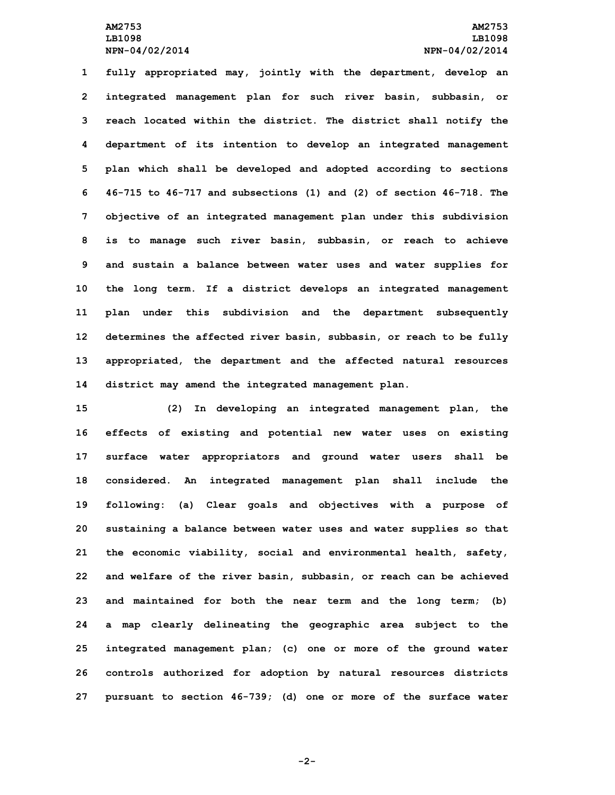**fully appropriated may, jointly with the department, develop an integrated management plan for such river basin, subbasin, or reach located within the district. The district shall notify the department of its intention to develop an integrated management plan which shall be developed and adopted according to sections 46-715 to 46-717 and subsections (1) and (2) of section 46-718. The objective of an integrated management plan under this subdivision is to manage such river basin, subbasin, or reach to achieve and sustain <sup>a</sup> balance between water uses and water supplies for the long term. If <sup>a</sup> district develops an integrated management plan under this subdivision and the department subsequently determines the affected river basin, subbasin, or reach to be fully appropriated, the department and the affected natural resources district may amend the integrated management plan.**

 **(2) In developing an integrated management plan, the effects of existing and potential new water uses on existing surface water appropriators and ground water users shall be considered. An integrated management plan shall include the following: (a) Clear goals and objectives with <sup>a</sup> purpose of sustaining <sup>a</sup> balance between water uses and water supplies so that the economic viability, social and environmental health, safety, and welfare of the river basin, subbasin, or reach can be achieved and maintained for both the near term and the long term; (b) <sup>a</sup> map clearly delineating the geographic area subject to the integrated management plan; (c) one or more of the ground water controls authorized for adoption by natural resources districts pursuant to section 46-739; (d) one or more of the surface water**

**-2-**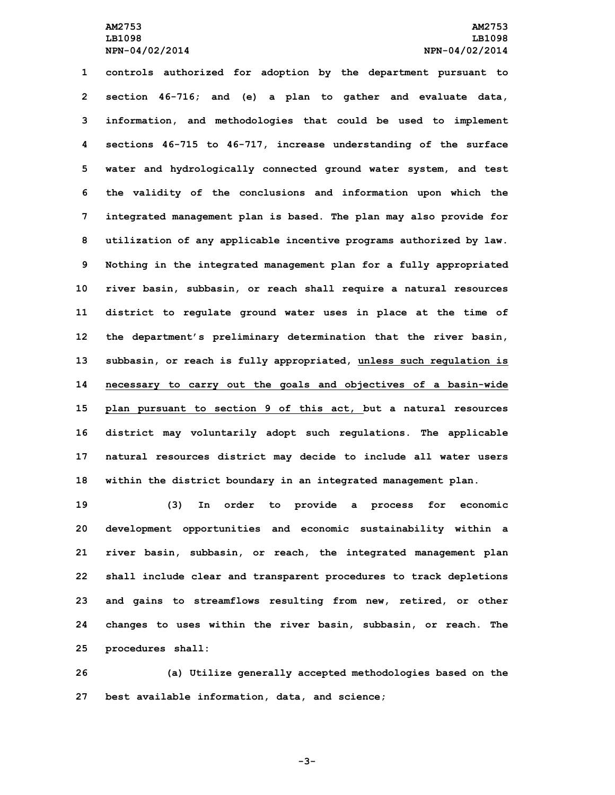**controls authorized for adoption by the department pursuant to section 46-716; and (e) <sup>a</sup> plan to gather and evaluate data, information, and methodologies that could be used to implement sections 46-715 to 46-717, increase understanding of the surface water and hydrologically connected ground water system, and test the validity of the conclusions and information upon which the integrated management plan is based. The plan may also provide for utilization of any applicable incentive programs authorized by law. Nothing in the integrated management plan for <sup>a</sup> fully appropriated river basin, subbasin, or reach shall require <sup>a</sup> natural resources district to regulate ground water uses in place at the time of the department's preliminary determination that the river basin, subbasin, or reach is fully appropriated, unless such regulation is necessary to carry out the goals and objectives of <sup>a</sup> basin-wide plan pursuant to section 9 of this act, but <sup>a</sup> natural resources district may voluntarily adopt such regulations. The applicable natural resources district may decide to include all water users within the district boundary in an integrated management plan.**

 **(3) In order to provide <sup>a</sup> process for economic development opportunities and economic sustainability within <sup>a</sup> river basin, subbasin, or reach, the integrated management plan shall include clear and transparent procedures to track depletions and gains to streamflows resulting from new, retired, or other changes to uses within the river basin, subbasin, or reach. The procedures shall:**

**26 (a) Utilize generally accepted methodologies based on the 27 best available information, data, and science;**

**-3-**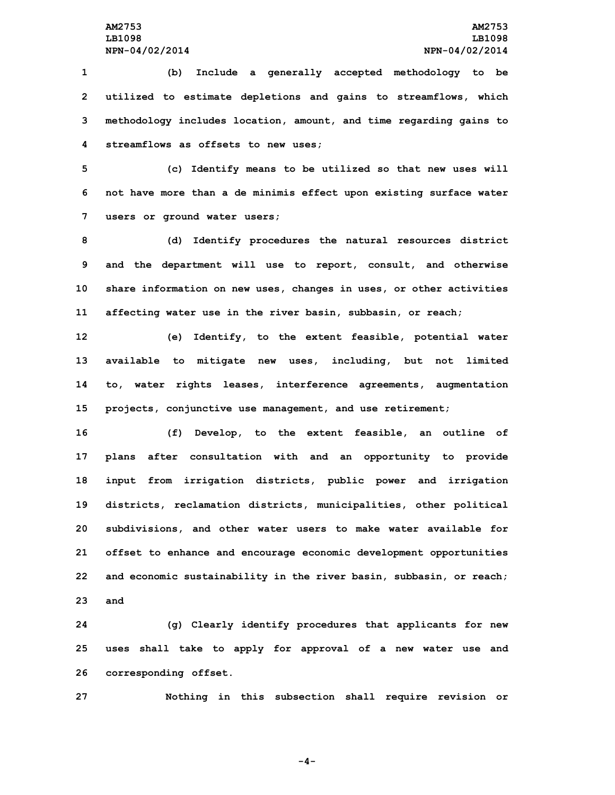**(b) Include <sup>a</sup> generally accepted methodology to be utilized to estimate depletions and gains to streamflows, which methodology includes location, amount, and time regarding gains to streamflows as offsets to new uses;**

**5 (c) Identify means to be utilized so that new uses will 6 not have more than <sup>a</sup> de minimis effect upon existing surface water 7 users or ground water users;**

 **(d) Identify procedures the natural resources district and the department will use to report, consult, and otherwise share information on new uses, changes in uses, or other activities affecting water use in the river basin, subbasin, or reach;**

 **(e) Identify, to the extent feasible, potential water available to mitigate new uses, including, but not limited to, water rights leases, interference agreements, augmentation projects, conjunctive use management, and use retirement;**

 **(f) Develop, to the extent feasible, an outline of plans after consultation with and an opportunity to provide input from irrigation districts, public power and irrigation districts, reclamation districts, municipalities, other political subdivisions, and other water users to make water available for offset to enhance and encourage economic development opportunities and economic sustainability in the river basin, subbasin, or reach; 23 and**

**24 (g) Clearly identify procedures that applicants for new 25 uses shall take to apply for approval of <sup>a</sup> new water use and 26 corresponding offset.**

**27 Nothing in this subsection shall require revision or**

**-4-**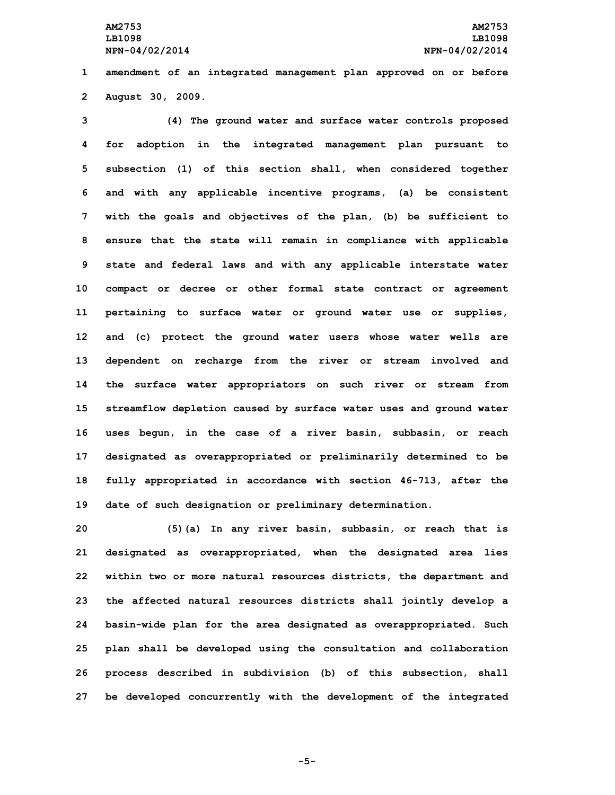**1 amendment of an integrated management plan approved on or before 2 August 30, 2009.**

 **(4) The ground water and surface water controls proposed for adoption in the integrated management plan pursuant to subsection (1) of this section shall, when considered together and with any applicable incentive programs, (a) be consistent with the goals and objectives of the plan, (b) be sufficient to ensure that the state will remain in compliance with applicable state and federal laws and with any applicable interstate water compact or decree or other formal state contract or agreement pertaining to surface water or ground water use or supplies, and (c) protect the ground water users whose water wells are dependent on recharge from the river or stream involved and the surface water appropriators on such river or stream from streamflow depletion caused by surface water uses and ground water uses begun, in the case of <sup>a</sup> river basin, subbasin, or reach designated as overappropriated or preliminarily determined to be fully appropriated in accordance with section 46-713, after the date of such designation or preliminary determination.**

 **(5)(a) In any river basin, subbasin, or reach that is designated as overappropriated, when the designated area lies within two or more natural resources districts, the department and the affected natural resources districts shall jointly develop <sup>a</sup> basin-wide plan for the area designated as overappropriated. Such plan shall be developed using the consultation and collaboration process described in subdivision (b) of this subsection, shall be developed concurrently with the development of the integrated**

**-5-**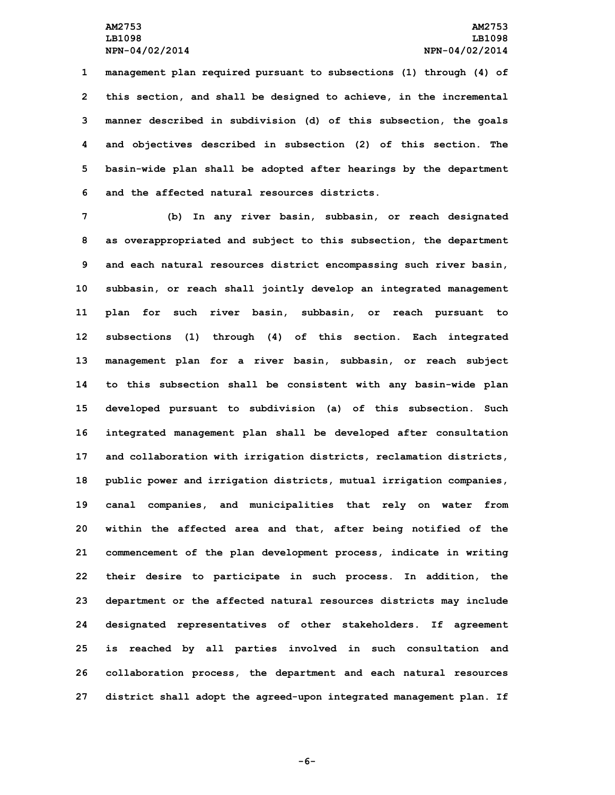**management plan required pursuant to subsections (1) through (4) of this section, and shall be designed to achieve, in the incremental manner described in subdivision (d) of this subsection, the goals and objectives described in subsection (2) of this section. The basin-wide plan shall be adopted after hearings by the department and the affected natural resources districts.**

 **(b) In any river basin, subbasin, or reach designated as overappropriated and subject to this subsection, the department and each natural resources district encompassing such river basin, subbasin, or reach shall jointly develop an integrated management plan for such river basin, subbasin, or reach pursuant to subsections (1) through (4) of this section. Each integrated management plan for <sup>a</sup> river basin, subbasin, or reach subject to this subsection shall be consistent with any basin-wide plan developed pursuant to subdivision (a) of this subsection. Such integrated management plan shall be developed after consultation and collaboration with irrigation districts, reclamation districts, public power and irrigation districts, mutual irrigation companies, canal companies, and municipalities that rely on water from within the affected area and that, after being notified of the commencement of the plan development process, indicate in writing their desire to participate in such process. In addition, the department or the affected natural resources districts may include designated representatives of other stakeholders. If agreement is reached by all parties involved in such consultation and collaboration process, the department and each natural resources district shall adopt the agreed-upon integrated management plan. If**

**-6-**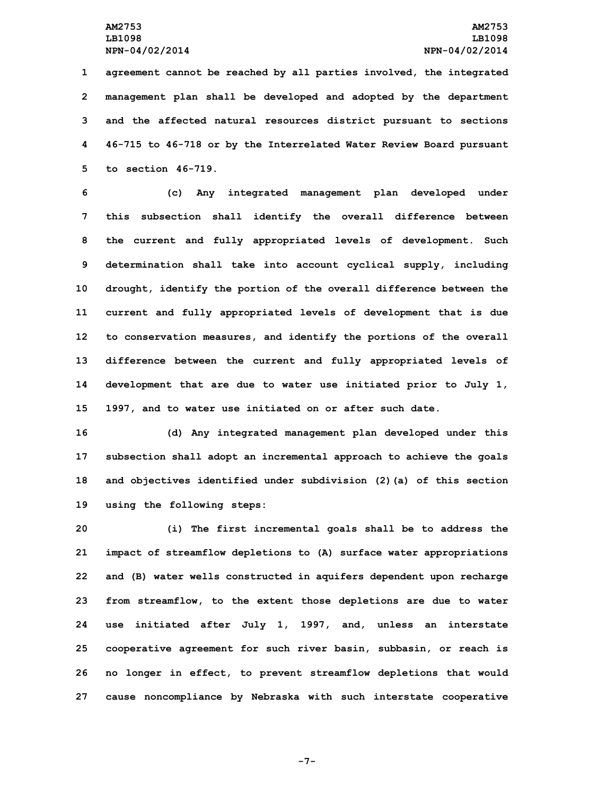**agreement cannot be reached by all parties involved, the integrated management plan shall be developed and adopted by the department and the affected natural resources district pursuant to sections 46-715 to 46-718 or by the Interrelated Water Review Board pursuant to section 46-719.**

 **(c) Any integrated management plan developed under this subsection shall identify the overall difference between the current and fully appropriated levels of development. Such determination shall take into account cyclical supply, including drought, identify the portion of the overall difference between the current and fully appropriated levels of development that is due to conservation measures, and identify the portions of the overall difference between the current and fully appropriated levels of development that are due to water use initiated prior to July 1, 1997, and to water use initiated on or after such date.**

 **(d) Any integrated management plan developed under this subsection shall adopt an incremental approach to achieve the goals and objectives identified under subdivision (2)(a) of this section using the following steps:**

 **(i) The first incremental goals shall be to address the impact of streamflow depletions to (A) surface water appropriations and (B) water wells constructed in aquifers dependent upon recharge from streamflow, to the extent those depletions are due to water use initiated after July 1, 1997, and, unless an interstate cooperative agreement for such river basin, subbasin, or reach is no longer in effect, to prevent streamflow depletions that would cause noncompliance by Nebraska with such interstate cooperative**

**-7-**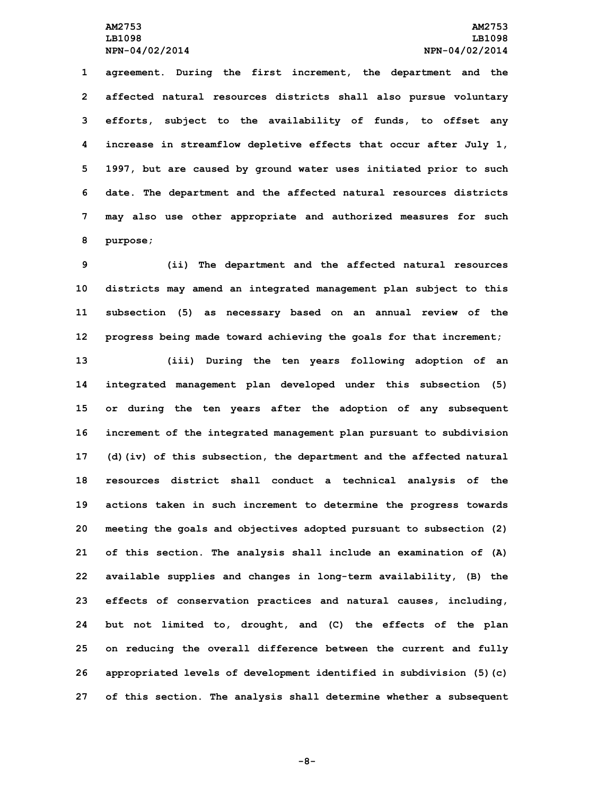**agreement. During the first increment, the department and the affected natural resources districts shall also pursue voluntary efforts, subject to the availability of funds, to offset any increase in streamflow depletive effects that occur after July 1, 1997, but are caused by ground water uses initiated prior to such date. The department and the affected natural resources districts may also use other appropriate and authorized measures for such 8 purpose;**

 **(ii) The department and the affected natural resources districts may amend an integrated management plan subject to this subsection (5) as necessary based on an annual review of the progress being made toward achieving the goals for that increment; (iii) During the ten years following adoption of an integrated management plan developed under this subsection (5) or during the ten years after the adoption of any subsequent increment of the integrated management plan pursuant to subdivision (d)(iv) of this subsection, the department and the affected natural resources district shall conduct <sup>a</sup> technical analysis of the actions taken in such increment to determine the progress towards meeting the goals and objectives adopted pursuant to subsection (2) of this section. The analysis shall include an examination of (A) available supplies and changes in long-term availability, (B) the effects of conservation practices and natural causes, including, but not limited to, drought, and (C) the effects of the plan on reducing the overall difference between the current and fully appropriated levels of development identified in subdivision (5)(c) of this section. The analysis shall determine whether <sup>a</sup> subsequent**

**-8-**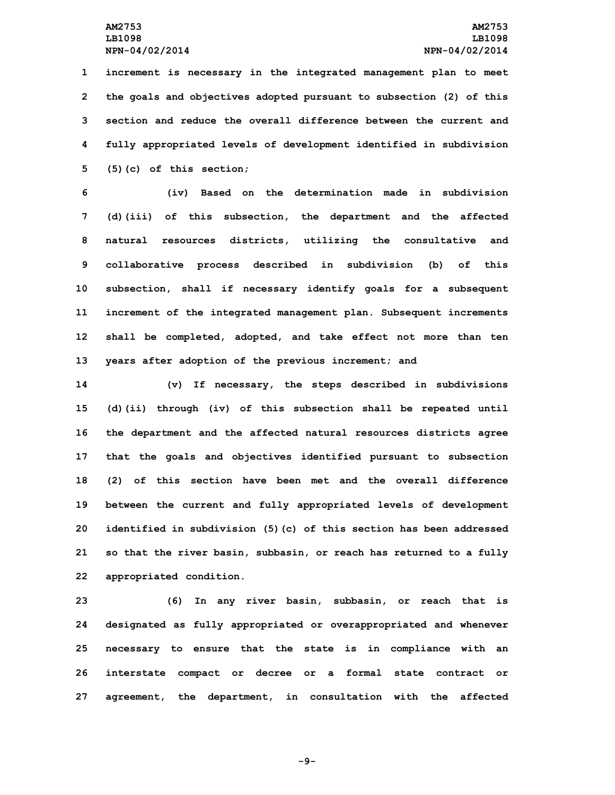**increment is necessary in the integrated management plan to meet the goals and objectives adopted pursuant to subsection (2) of this section and reduce the overall difference between the current and fully appropriated levels of development identified in subdivision (5)(c) of this section;**

 **(iv) Based on the determination made in subdivision (d)(iii) of this subsection, the department and the affected natural resources districts, utilizing the consultative and collaborative process described in subdivision (b) of this subsection, shall if necessary identify goals for <sup>a</sup> subsequent increment of the integrated management plan. Subsequent increments shall be completed, adopted, and take effect not more than ten years after adoption of the previous increment; and**

 **(v) If necessary, the steps described in subdivisions (d)(ii) through (iv) of this subsection shall be repeated until the department and the affected natural resources districts agree that the goals and objectives identified pursuant to subsection (2) of this section have been met and the overall difference between the current and fully appropriated levels of development identified in subdivision (5)(c) of this section has been addressed so that the river basin, subbasin, or reach has returned to <sup>a</sup> fully appropriated condition.**

 **(6) In any river basin, subbasin, or reach that is designated as fully appropriated or overappropriated and whenever necessary to ensure that the state is in compliance with an interstate compact or decree or <sup>a</sup> formal state contract or agreement, the department, in consultation with the affected**

**-9-**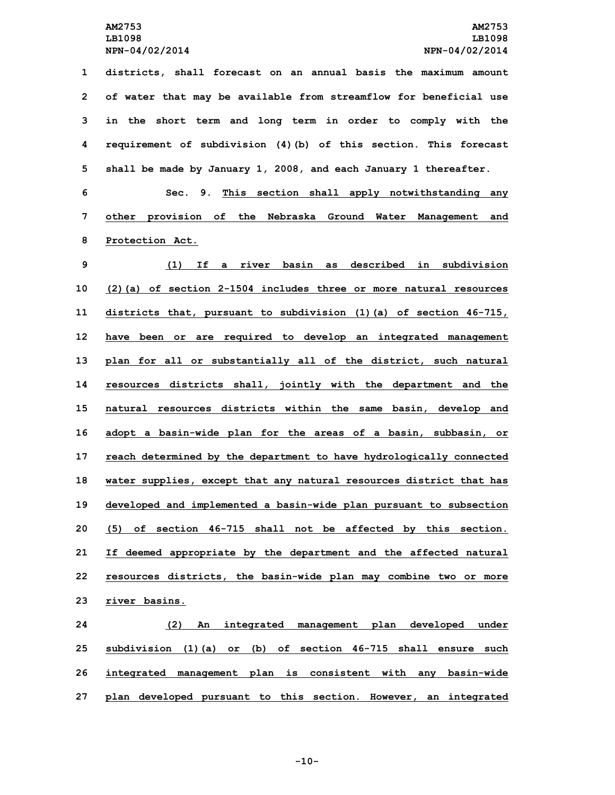**districts, shall forecast on an annual basis the maximum amount of water that may be available from streamflow for beneficial use in the short term and long term in order to comply with the requirement of subdivision (4)(b) of this section. This forecast shall be made by January 1, 2008, and each January 1 thereafter. Sec. 9. This section shall apply notwithstanding any other provision of the Nebraska Ground Water Management and Protection Act. (1) If <sup>a</sup> river basin as described in subdivision (2)(a) of section 2-1504 includes three or more natural resources districts that, pursuant to subdivision (1)(a) of section 46-715, have been or are required to develop an integrated management plan for all or substantially all of the district, such natural resources districts shall, jointly with the department and the natural resources districts within the same basin, develop and adopt <sup>a</sup> basin-wide plan for the areas of <sup>a</sup> basin, subbasin, or reach determined by the department to have hydrologically connected water supplies, except that any natural resources district that has developed and implemented <sup>a</sup> basin-wide plan pursuant to subsection (5) of section 46-715 shall not be affected by this section. If deemed appropriate by the department and the affected natural resources districts, the basin-wide plan may combine two or more river basins. (2) An integrated management plan developed under**

**25 subdivision (1)(a) or (b) of section 46-715 shall ensure such 26 integrated management plan is consistent with any basin-wide 27 plan developed pursuant to this section. However, an integrated**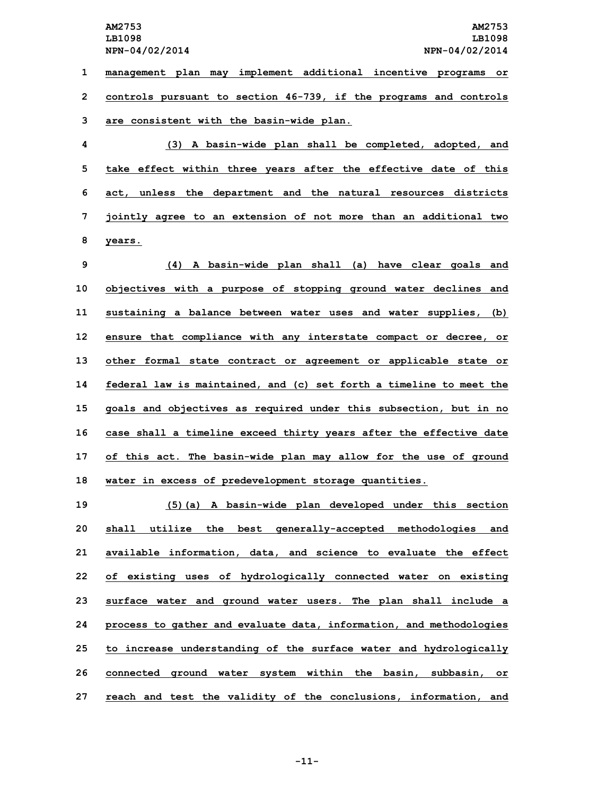**1 management plan may implement additional incentive programs or 2 controls pursuant to section 46-739, if the programs and controls 3 are consistent with the basin-wide plan.**

 **(3) <sup>A</sup> basin-wide plan shall be completed, adopted, and take effect within three years after the effective date of this act, unless the department and the natural resources districts jointly agree to an extension of not more than an additional two 8 years.**

 **(4) <sup>A</sup> basin-wide plan shall (a) have clear goals and objectives with <sup>a</sup> purpose of stopping ground water declines and sustaining <sup>a</sup> balance between water uses and water supplies, (b) ensure that compliance with any interstate compact or decree, or other formal state contract or agreement or applicable state or federal law is maintained, and (c) set forth <sup>a</sup> timeline to meet the goals and objectives as required under this subsection, but in no case shall <sup>a</sup> timeline exceed thirty years after the effective date of this act. The basin-wide plan may allow for the use of ground water in excess of predevelopment storage quantities.**

 **(5)(a) <sup>A</sup> basin-wide plan developed under this section shall utilize the best generally-accepted methodologies and available information, data, and science to evaluate the effect of existing uses of hydrologically connected water on existing surface water and ground water users. The plan shall include <sup>a</sup> process to gather and evaluate data, information, and methodologies to increase understanding of the surface water and hydrologically connected ground water system within the basin, subbasin, or reach and test the validity of the conclusions, information, and**

**-11-**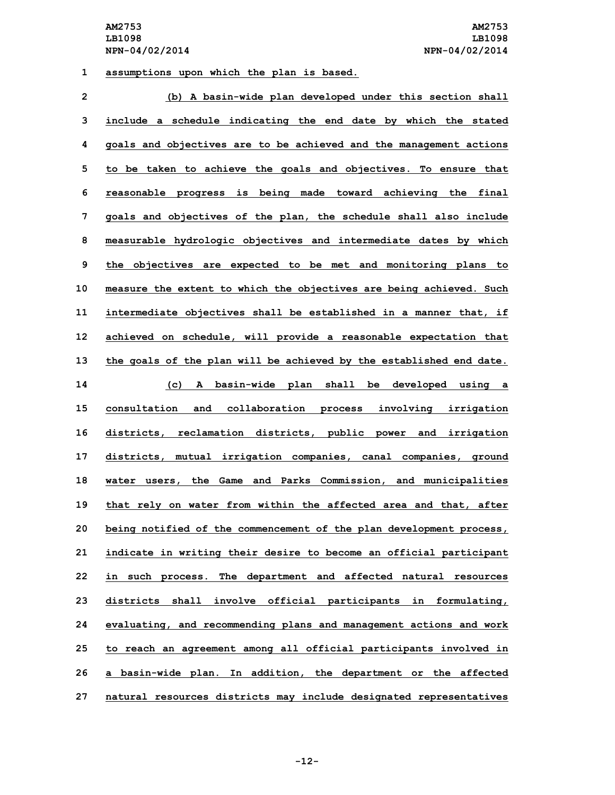**1 assumptions upon which the plan is based.**

| $\overline{2}$ | (b) A basin-wide plan developed under this section shall            |
|----------------|---------------------------------------------------------------------|
| 3              | include a schedule indicating the end date by which the stated      |
| 4              | goals and objectives are to be achieved and the management actions  |
| 5              | to be taken to achieve the goals and objectives. To ensure that     |
| 6              | reasonable progress is being made toward achieving the final        |
| 7              | goals and objectives of the plan, the schedule shall also include   |
| 8              | measurable hydrologic objectives and intermediate dates by which    |
| 9              | the objectives are expected to be met and monitoring plans to       |
| 10             | measure the extent to which the objectives are being achieved. Such |
| 11             | intermediate objectives shall be established in a manner that, if   |
| 12             | achieved on schedule, will provide a reasonable expectation that    |
| 13             | the goals of the plan will be achieved by the established end date. |
| 14             | A basin-wide plan shall be developed using a<br>(c)                 |
| 15             | consultation and collaboration process involving irrigation         |
| 16             | districts, reclamation districts, public power and irrigation       |
| 17             | districts, mutual irrigation companies, canal companies, ground     |
| 18             | water users, the Game and Parks Commission, and municipalities      |
| 19             | that rely on water from within the affected area and that, after    |
| 20             | being notified of the commencement of the plan development process, |
| 21             | indicate in writing their desire to become an official participant  |
| 22             | in such process. The department and affected natural resources      |
| 23             | districts shall involve official participants in formulating,       |
| 24             | evaluating, and recommending plans and management actions and work  |
| 25             | to reach an agreement among all official participants involved in   |
| 26             | a basin-wide plan. In addition, the department or the affected      |
| 27             | natural resources districts may include designated representatives  |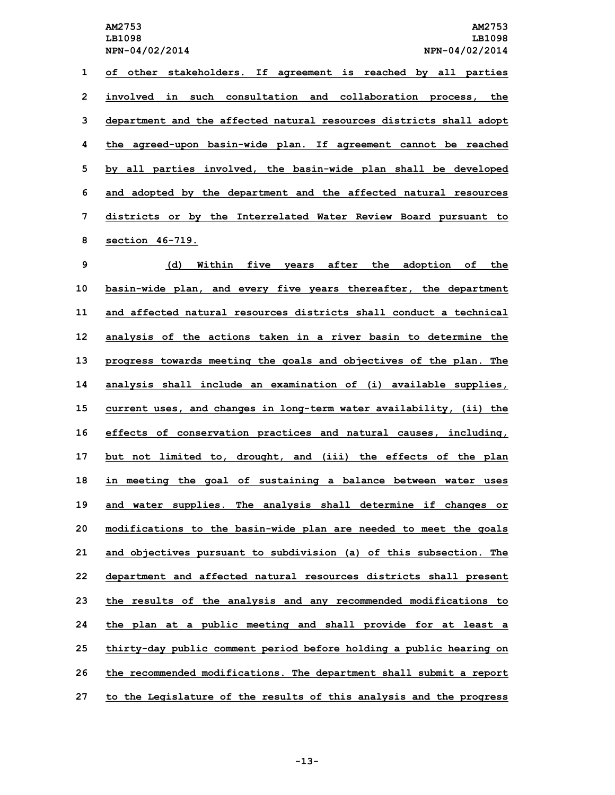**LB1098 LB1098**

 **of other stakeholders. If agreement is reached by all parties involved in such consultation and collaboration process, the department and the affected natural resources districts shall adopt the agreed-upon basin-wide plan. If agreement cannot be reached by all parties involved, the basin-wide plan shall be developed and adopted by the department and the affected natural resources districts or by the Interrelated Water Review Board pursuant to section 46-719.**

 **(d) Within five years after the adoption of the basin-wide plan, and every five years thereafter, the department and affected natural resources districts shall conduct a technical analysis of the actions taken in <sup>a</sup> river basin to determine the progress towards meeting the goals and objectives of the plan. The analysis shall include an examination of (i) available supplies, current uses, and changes in long-term water availability, (ii) the effects of conservation practices and natural causes, including, but not limited to, drought, and (iii) the effects of the plan in meeting the goal of sustaining <sup>a</sup> balance between water uses and water supplies. The analysis shall determine if changes or modifications to the basin-wide plan are needed to meet the goals and objectives pursuant to subdivision (a) of this subsection. The department and affected natural resources districts shall present the results of the analysis and any recommended modifications to the plan at <sup>a</sup> public meeting and shall provide for at least <sup>a</sup> thirty-day public comment period before holding <sup>a</sup> public hearing on the recommended modifications. The department shall submit <sup>a</sup> report to the Legislature of the results of this analysis and the progress**